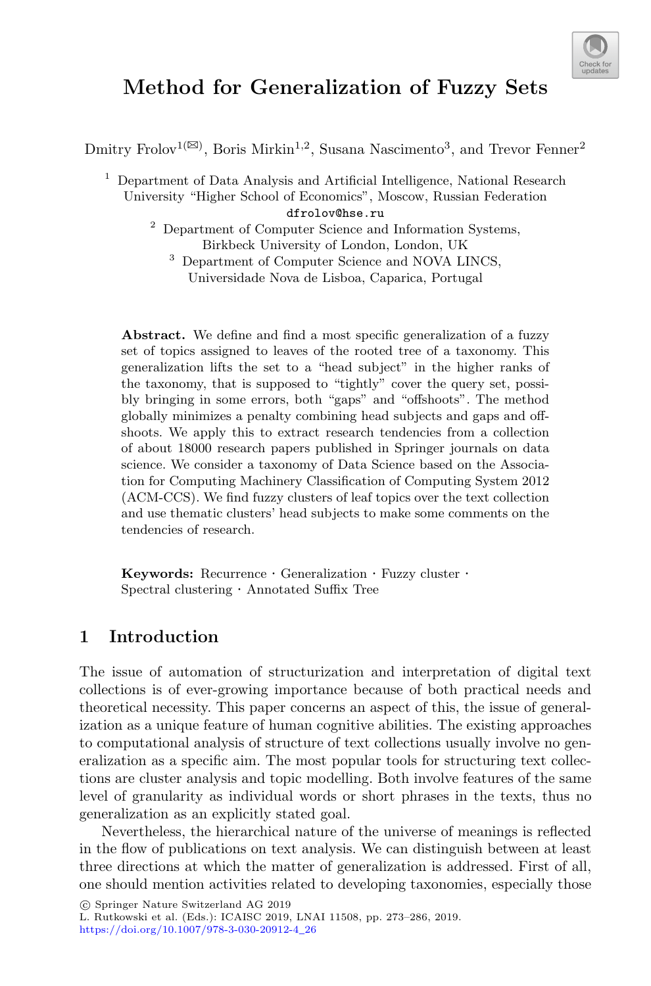

# **Method for Generalization of Fuzzy Sets**

Dmitry Frolov<sup>1( $\boxtimes$ )</sup>, Boris Mirkin<sup>1,2</sup>, Susana Nascimento<sup>3</sup>, and Trevor Fenner<sup>2</sup>

- <sup>1</sup> Department of Data Analysis and Artificial Intelligence, National Research University "Higher School of Economics", Moscow, Russian Federation dfrolov@hse.ru
	- <sup>2</sup> Department of Computer Science and Information Systems, Birkbeck University of London, London, UK
		- <sup>3</sup> Department of Computer Science and NOVA LINCS, Universidade Nova de Lisboa, Caparica, Portugal

**Abstract.** We define and find a most specific generalization of a fuzzy set of topics assigned to leaves of the rooted tree of a taxonomy. This generalization lifts the set to a "head subject" in the higher ranks of the taxonomy, that is supposed to "tightly" cover the query set, possibly bringing in some errors, both "gaps" and "offshoots". The method globally minimizes a penalty combining head subjects and gaps and offshoots. We apply this to extract research tendencies from a collection of about 18000 research papers published in Springer journals on data science. We consider a taxonomy of Data Science based on the Association for Computing Machinery Classification of Computing System 2012 (ACM-CCS). We find fuzzy clusters of leaf topics over the text collection and use thematic clusters' head subjects to make some comments on the tendencies of research.

**Keywords:** Recurrence · Generalization · Fuzzy cluster · Spectral clustering · Annotated Suffix Tree

## **1 Introduction**

The issue of automation of structurization and interpretation of digital text collections is of ever-growing importance because of both practical needs and theoretical necessity. This paper concerns an aspect of this, the issue of generalization as a unique feature of human cognitive abilities. The existing approaches to computational analysis of structure of text collections usually involve no generalization as a specific aim. The most popular tools for structuring text collections are cluster analysis and topic modelling. Both involve features of the same level of granularity as individual words or short phrases in the texts, thus no generalization as an explicitly stated goal.

Nevertheless, the hierarchical nature of the universe of meanings is reflected in the flow of publications on text analysis. We can distinguish between at least three directions at which the matter of generalization is addressed. First of all, one should mention activities related to developing taxonomies, especially those

-c Springer Nature Switzerland AG 2019

L. Rutkowski et al. (Eds.): ICAISC 2019, LNAI 11508, pp. 273–286, 2019. [https://doi.org/10.1007/978-3-030-20912-4](https://doi.org/10.1007/978-3-030-20912-4_26)\_26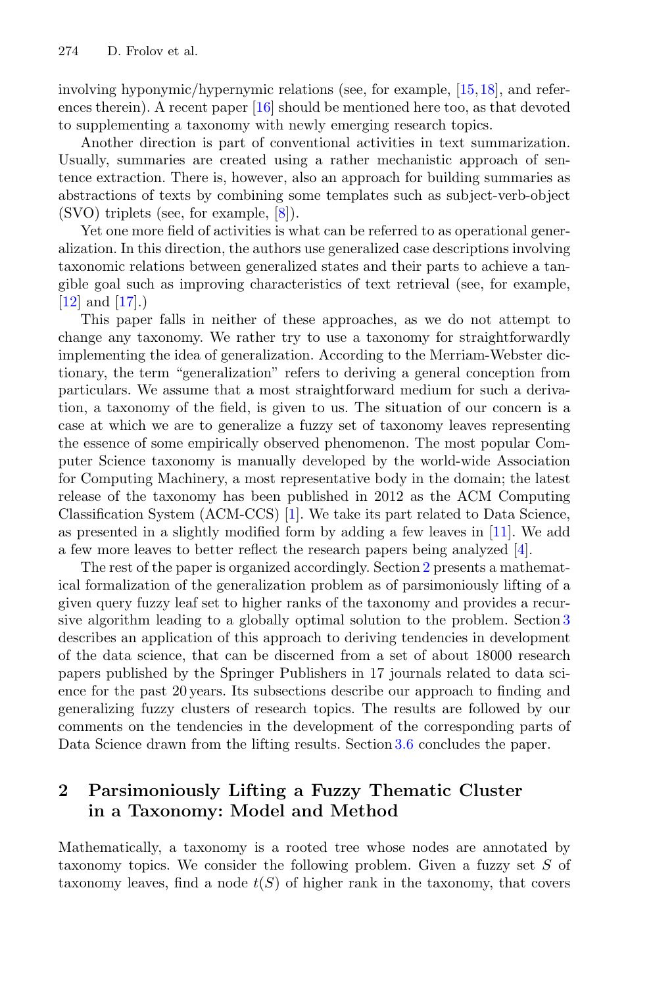involving hyponymic/hypernymic relations (see, for example, [\[15](#page-13-0)[,18](#page-13-1)], and references therein). A recent paper [\[16\]](#page-13-2) should be mentioned here too, as that devoted to supplementing a taxonomy with newly emerging research topics.

Another direction is part of conventional activities in text summarization. Usually, summaries are created using a rather mechanistic approach of sentence extraction. There is, however, also an approach for building summaries as abstractions of texts by combining some templates such as subject-verb-object (SVO) triplets (see, for example, [\[8\]](#page-12-0)).

Yet one more field of activities is what can be referred to as operational generalization. In this direction, the authors use generalized case descriptions involving taxonomic relations between generalized states and their parts to achieve a tangible goal such as improving characteristics of text retrieval (see, for example, [\[12](#page-12-1)] and [\[17](#page-13-3)].)

This paper falls in neither of these approaches, as we do not attempt to change any taxonomy. We rather try to use a taxonomy for straightforwardly implementing the idea of generalization. According to the Merriam-Webster dictionary, the term "generalization" refers to deriving a general conception from particulars. We assume that a most straightforward medium for such a derivation, a taxonomy of the field, is given to us. The situation of our concern is a case at which we are to generalize a fuzzy set of taxonomy leaves representing the essence of some empirically observed phenomenon. The most popular Computer Science taxonomy is manually developed by the world-wide Association for Computing Machinery, a most representative body in the domain; the latest release of the taxonomy has been published in 2012 as the ACM Computing Classification System (ACM-CCS) [\[1\]](#page-12-2). We take its part related to Data Science, as presented in a slightly modified form by adding a few leaves in [\[11\]](#page-12-3). We add a few more leaves to better reflect the research papers being analyzed [\[4](#page-12-4)].

The rest of the paper is organized accordingly. Section [2](#page-1-0) presents a mathematical formalization of the generalization problem as of parsimoniously lifting of a given query fuzzy leaf set to higher ranks of the taxonomy and provides a recursive algorithm leading to a globally optimal solution to the problem. Section [3](#page-5-0) describes an application of this approach to deriving tendencies in development of the data science, that can be discerned from a set of about 18000 research papers published by the Springer Publishers in 17 journals related to data science for the past 20 years. Its subsections describe our approach to finding and generalizing fuzzy clusters of research topics. The results are followed by our comments on the tendencies in the development of the corresponding parts of Data Science drawn from the lifting results. Section [3.6](#page-11-0) concludes the paper.

# <span id="page-1-0"></span>**2 Parsimoniously Lifting a Fuzzy Thematic Cluster in a Taxonomy: Model and Method**

Mathematically, a taxonomy is a rooted tree whose nodes are annotated by taxonomy topics. We consider the following problem. Given a fuzzy set S of taxonomy leaves, find a node  $t(S)$  of higher rank in the taxonomy, that covers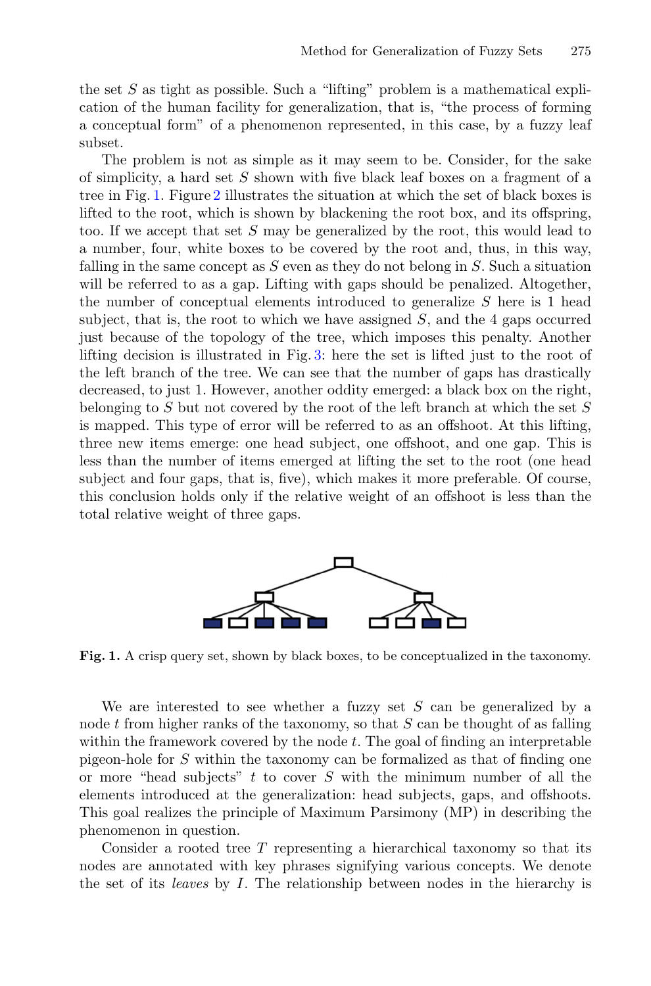the set  $S$  as tight as possible. Such a "lifting" problem is a mathematical explication of the human facility for generalization, that is, "the process of forming a conceptual form" of a phenomenon represented, in this case, by a fuzzy leaf subset.

The problem is not as simple as it may seem to be. Consider, for the sake of simplicity, a hard set S shown with five black leaf boxes on a fragment of a tree in Fig. [1.](#page-2-0) Figure [2](#page-3-0) illustrates the situation at which the set of black boxes is lifted to the root, which is shown by blackening the root box, and its offspring, too. If we accept that set S may be generalized by the root, this would lead to a number, four, white boxes to be covered by the root and, thus, in this way, falling in the same concept as  $S$  even as they do not belong in  $S$ . Such a situation will be referred to as a gap. Lifting with gaps should be penalized. Altogether, the number of conceptual elements introduced to generalize  $S$  here is 1 head subject, that is, the root to which we have assigned  $S$ , and the 4 gaps occurred just because of the topology of the tree, which imposes this penalty. Another lifting decision is illustrated in Fig. [3:](#page-3-1) here the set is lifted just to the root of the left branch of the tree. We can see that the number of gaps has drastically decreased, to just 1. However, another oddity emerged: a black box on the right, belonging to  $S$  but not covered by the root of the left branch at which the set  $S$ is mapped. This type of error will be referred to as an offshoot. At this lifting, three new items emerge: one head subject, one offshoot, and one gap. This is less than the number of items emerged at lifting the set to the root (one head subject and four gaps, that is, five), which makes it more preferable. Of course, this conclusion holds only if the relative weight of an offshoot is less than the total relative weight of three gaps.

<span id="page-2-0"></span>

**Fig. 1.** A crisp query set, shown by black boxes, to be conceptualized in the taxonomy.

We are interested to see whether a fuzzy set  $S$  can be generalized by a node  $t$  from higher ranks of the taxonomy, so that  $S$  can be thought of as falling within the framework covered by the node  $t$ . The goal of finding an interpretable pigeon-hole for S within the taxonomy can be formalized as that of finding one or more "head subjects"  $t$  to cover  $S$  with the minimum number of all the elements introduced at the generalization: head subjects, gaps, and offshoots. This goal realizes the principle of Maximum Parsimony (MP) in describing the phenomenon in question.

Consider a rooted tree  $T$  representing a hierarchical taxonomy so that its nodes are annotated with key phrases signifying various concepts. We denote the set of its *leaves* by I. The relationship between nodes in the hierarchy is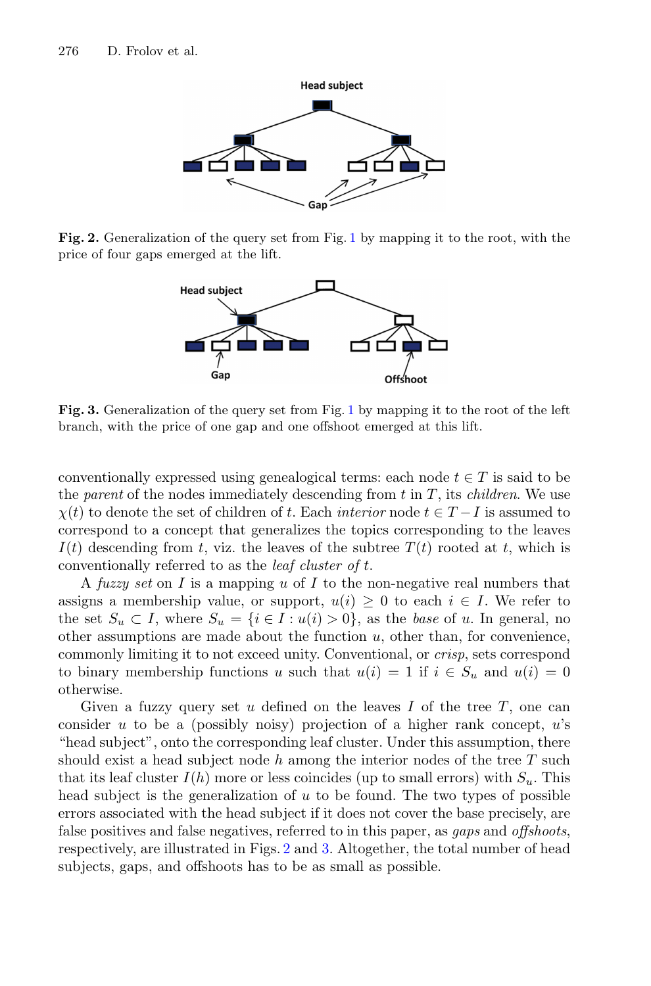

**Fig. 2.** Generalization of the query set from Fig. [1](#page-2-0) by mapping it to the root, with the price of four gaps emerged at the lift.

<span id="page-3-1"></span><span id="page-3-0"></span>

**Fig. 3.** Generalization of the query set from Fig. [1](#page-2-0) by mapping it to the root of the left branch, with the price of one gap and one offshoot emerged at this lift.

conventionally expressed using genealogical terms: each node  $t \in T$  is said to be the *parent* of the nodes immediately descending from t in T, its *children*. We use  $\chi(t)$  to denote the set of children of t. Each *interior* node  $t \in T - I$  is assumed to correspond to a concept that generalizes the topics corresponding to the leaves  $I(t)$  descending from t, viz. the leaves of the subtree  $T(t)$  rooted at t, which is conventionally referred to as the *leaf cluster of* t.

<sup>A</sup> *fuzzy set* on I is a mapping u of I to the non-negative real numbers that assigns a membership value, or support,  $u(i) \geq 0$  to each  $i \in I$ . We refer to the set  $S_u \subset I$ , where  $S_u = \{i \in I : u(i) > 0\}$ , as the *base* of u. In general, no other assumptions are made about the function  $u$ , other than, for convenience, commonly limiting it to not exceed unity. Conventional, or *crisp*, sets correspond to binary membership functions u such that  $u(i) = 1$  if  $i \in S_u$  and  $u(i) = 0$ otherwise.

Given a fuzzy query set u defined on the leaves  $I$  of the tree  $T$ , one can consider u to be a (possibly noisy) projection of a higher rank concept,  $u$ 's "head subject", onto the corresponding leaf cluster. Under this assumption, there should exist a head subject node h among the interior nodes of the tree  $T$  such that its leaf cluster  $I(h)$  more or less coincides (up to small errors) with  $S_u$ . This head subject is the generalization of  $u$  to be found. The two types of possible errors associated with the head subject if it does not cover the base precisely, are false positives and false negatives, referred to in this paper, as *gaps* and *offshoots*, respectively, are illustrated in Figs. [2](#page-3-0) and [3.](#page-3-1) Altogether, the total number of head subjects, gaps, and offshoots has to be as small as possible.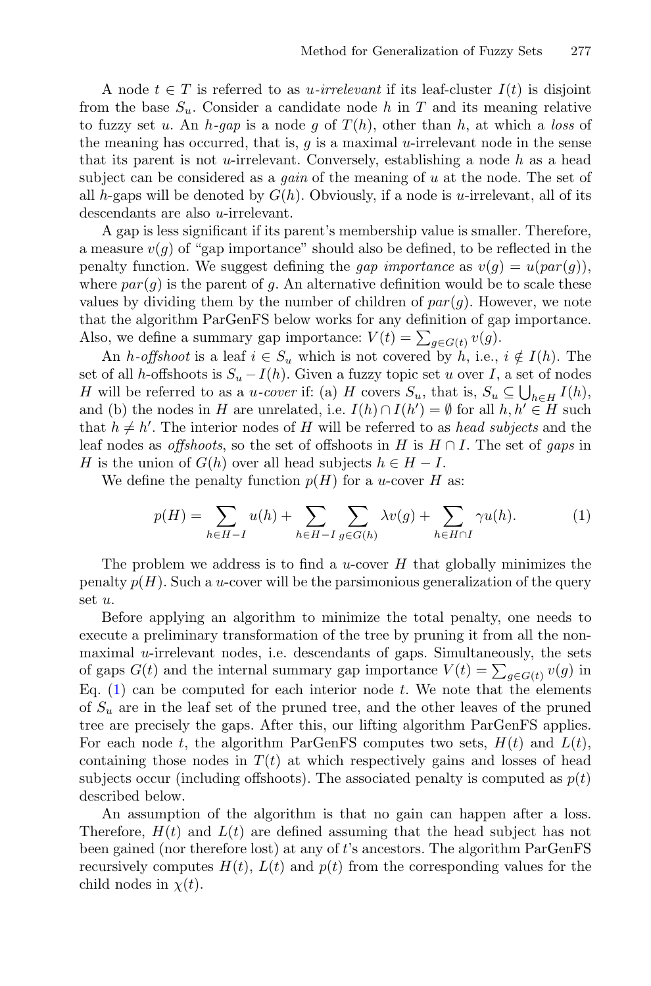A node  $t \in T$  is referred to as *u-irrelevant* if its leaf-cluster  $I(t)$  is disjoint from the base  $S_u$ . Consider a candidate node h in T and its meaning relative to fuzzy set u. An  $h$ -gap is a node g of  $T(h)$ , other than h, at which a *loss* of the meaning has occurred, that is,  $q$  is a maximal u-irrelevant node in the sense that its parent is not *u*-irrelevant. Conversely, establishing a node  $h$  as a head subject can be considered as a *gain* of the meaning of u at the node. The set of all h-gaps will be denoted by  $G(h)$ . Obviously, if a node is u-irrelevant, all of its descendants are also u-irrelevant.

A gap is less significant if its parent's membership value is smaller. Therefore, a measure  $v(g)$  of "gap importance" should also be defined, to be reflected in the penalty function. We suggest defining the *gap importance* as  $v(q) = u(par(q)),$ where  $par(q)$  is the parent of q. An alternative definition would be to scale these values by dividing them by the number of children of  $par(q)$ . However, we note that the algorithm ParGenFS below works for any definition of gap importance. Also, we define a summary gap importance:  $V(t) = \sum_{g \in G(t)} v(g)$ .<br>An h offshoot is a loof  $i \in S$ , which is not covered by h i.e.

An h-offshoot is a leaf  $i \in S_u$  which is not covered by h, i.e.,  $i \notin I(h)$ . The set of all h-offshoots is  $S_u - I(h)$ . Given a fuzzy topic set u over I, a set of nodes H will be referred to as a *u-cover* if: (a) H covers  $S_u$ , that is,  $S_u \subseteq \bigcup_{h \in H} I(h)$ ,<br>and (b) the nodes in H are unrelated i.e.  $I(h) \cap I(h') = \emptyset$  for all  $h \not\in H$  such and (b) the nodes in H are unrelated, i.e.  $I(h) \cap I(h') = \emptyset$  for all  $h, h' \in H$  such that  $h \neq h'$ . The interior nodes of H will be referred to as head subjects and the that  $h \neq h'$ . The interior nodes of H will be referred to as *head subjects* and the leaf nodes as *offshoots* so the set of offshoots in H is  $H \cap I$ . The set of *gans* in leaf nodes as *offshoots*, so the set of offshoots in H is H <sup>∩</sup> I. The set of *gaps* in H is the union of  $G(h)$  over all head subjects  $h \in H - I$ .

We define the penalty function  $p(H)$  for a *u*-cover H as:

<span id="page-4-0"></span>
$$
p(H) = \sum_{h \in H - I} u(h) + \sum_{h \in H - I} \sum_{g \in G(h)} \lambda v(g) + \sum_{h \in H \cap I} \gamma u(h).
$$
 (1)

The problem we address is to find a u-cover  $H$  that globally minimizes the penalty  $p(H)$ . Such a *u*-cover will be the parsimonious generalization of the query set u.

Before applying an algorithm to minimize the total penalty, one needs to execute a preliminary transformation of the tree by pruning it from all the nonmaximal  $u$ -irrelevant nodes, i.e. descendants of gaps. Simultaneously, the sets of gaps  $G(t)$  and the internal summary gap importance  $V(t) = \sum_{g \in G(t)} v(g)$  in Eq.  $(1)$  can be computed for each interior node t. We note that the elements of  $S_u$  are in the leaf set of the pruned tree, and the other leaves of the pruned tree are precisely the gaps. After this, our lifting algorithm ParGenFS applies. For each node t, the algorithm ParGenFS computes two sets,  $H(t)$  and  $L(t)$ , containing those nodes in  $T(t)$  at which respectively gains and losses of head subjects occur (including offshoots). The associated penalty is computed as  $p(t)$ described below.

An assumption of the algorithm is that no gain can happen after a loss. Therefore,  $H(t)$  and  $L(t)$  are defined assuming that the head subject has not been gained (nor therefore lost) at any of t's ancestors. The algorithm ParGenFS recursively computes  $H(t)$ ,  $L(t)$  and  $p(t)$  from the corresponding values for the child nodes in  $\chi(t)$ .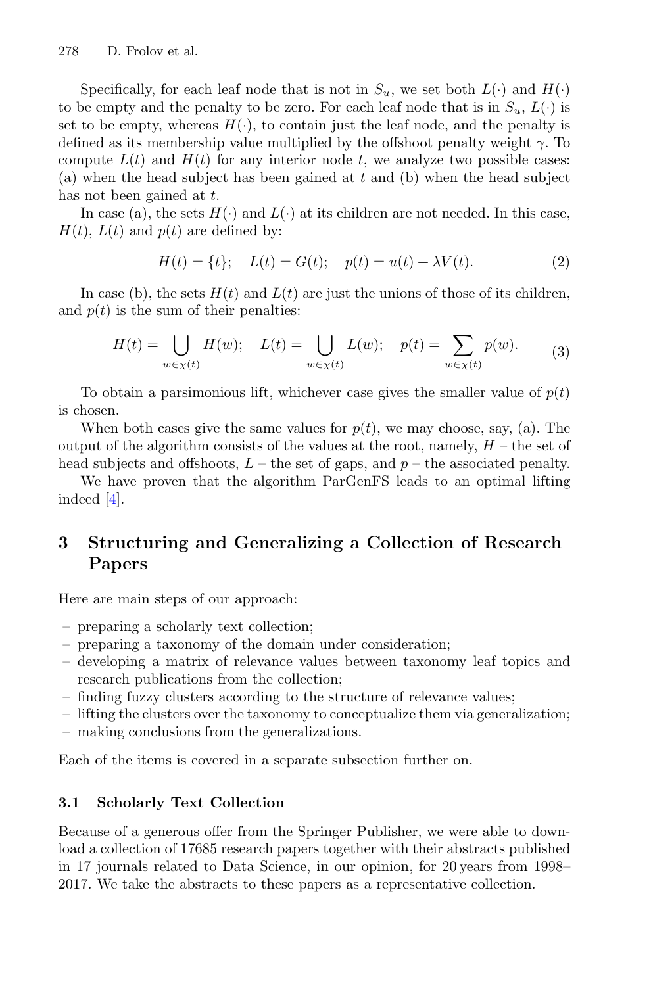Specifically, for each leaf node that is not in  $S_u$ , we set both  $L(\cdot)$  and  $H(\cdot)$ to be empty and the penalty to be zero. For each leaf node that is in  $S_u$ ,  $L(\cdot)$  is set to be empty, whereas  $H(\cdot)$ , to contain just the leaf node, and the penalty is defined as its membership value multiplied by the offshoot penalty weight  $\gamma$ . To compute  $L(t)$  and  $H(t)$  for any interior node t, we analyze two possible cases: (a) when the head subject has been gained at  $t$  and (b) when the head subject has not been gained at t.

In case (a), the sets  $H(\cdot)$  and  $L(\cdot)$  at its children are not needed. In this case,  $H(t)$ ,  $L(t)$  and  $p(t)$  are defined by:

$$
H(t) = \{t\}; \quad L(t) = G(t); \quad p(t) = u(t) + \lambda V(t). \tag{2}
$$

In case (b), the sets  $H(t)$  and  $L(t)$  are just the unions of those of its children, and  $p(t)$  is the sum of their penalties:

$$
H(t) = \bigcup_{w \in \chi(t)} H(w); \quad L(t) = \bigcup_{w \in \chi(t)} L(w); \quad p(t) = \sum_{w \in \chi(t)} p(w). \tag{3}
$$

To obtain a parsimonious lift, whichever case gives the smaller value of  $p(t)$ is chosen.

When both cases give the same values for  $p(t)$ , we may choose, say, (a). The output of the algorithm consists of the values at the root, namely,  $H$  – the set of head subjects and offshoots,  $L$  – the set of gaps, and  $p$  – the associated penalty.

We have proven that the algorithm ParGenFS leads to an optimal lifting indeed [\[4\]](#page-12-4).

# <span id="page-5-0"></span>**3 Structuring and Generalizing a Collection of Research Papers**

Here are main steps of our approach:

- preparing a scholarly text collection;
- preparing a taxonomy of the domain under consideration;
- developing a matrix of relevance values between taxonomy leaf topics and research publications from the collection;
- finding fuzzy clusters according to the structure of relevance values;
- lifting the clusters over the taxonomy to conceptualize them via generalization;
- making conclusions from the generalizations.

Each of the items is covered in a separate subsection further on.

#### **3.1 Scholarly Text Collection**

Because of a generous offer from the Springer Publisher, we were able to download a collection of 17685 research papers together with their abstracts published in 17 journals related to Data Science, in our opinion, for 20 years from 1998– 2017. We take the abstracts to these papers as a representative collection.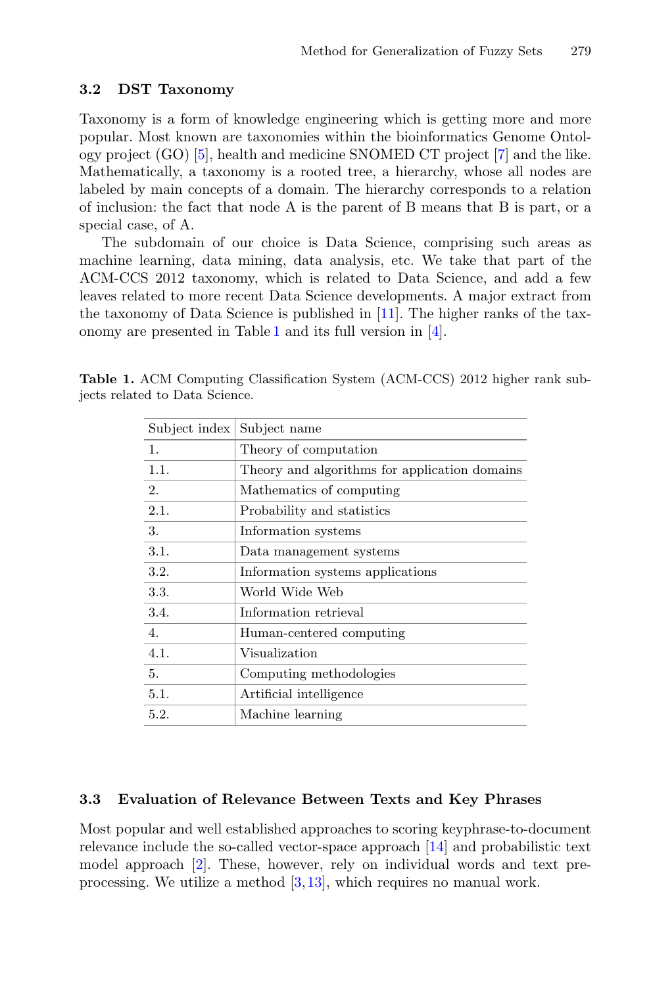#### **3.2 DST Taxonomy**

Taxonomy is a form of knowledge engineering which is getting more and more popular. Most known are taxonomies within the bioinformatics Genome Ontology project (GO) [\[5\]](#page-12-5), health and medicine SNOMED CT project [\[7](#page-12-6)] and the like. Mathematically, a taxonomy is a rooted tree, a hierarchy, whose all nodes are labeled by main concepts of a domain. The hierarchy corresponds to a relation of inclusion: the fact that node A is the parent of B means that B is part, or a special case, of A.

The subdomain of our choice is Data Science, comprising such areas as machine learning, data mining, data analysis, etc. We take that part of the ACM-CCS 2012 taxonomy, which is related to Data Science, and add a few leaves related to more recent Data Science developments. A major extract from the taxonomy of Data Science is published in [\[11\]](#page-12-3). The higher ranks of the taxonomy are presented in Table [1](#page-6-0) and its full version in [\[4\]](#page-12-4).

| Subject index    | Subject name                                  |
|------------------|-----------------------------------------------|
|                  |                                               |
| 1.               | Theory of computation                         |
| 1.1.             | Theory and algorithms for application domains |
| 2.               | Mathematics of computing                      |
| 2.1.             | Probability and statistics                    |
| 3.               | Information systems                           |
| 3.1.             | Data management systems                       |
| 3.2.             | Information systems applications              |
| 3.3.             | World Wide Web                                |
| 3.4.             | Information retrieval                         |
| $\overline{4}$ . | Human-centered computing                      |
| 4.1.             | Visualization                                 |
| 5.               | Computing methodologies                       |
| 5.1.             | Artificial intelligence                       |
| 5.2.             | Machine learning                              |

<span id="page-6-0"></span>**Table 1.** ACM Computing Classification System (ACM-CCS) 2012 higher rank subjects related to Data Science.

#### **3.3 Evaluation of Relevance Between Texts and Key Phrases**

Most popular and well established approaches to scoring keyphrase-to-document relevance include the so-called vector-space approach [\[14\]](#page-13-4) and probabilistic text model approach [\[2](#page-12-7)]. These, however, rely on individual words and text preprocessing. We utilize a method [\[3](#page-12-8)[,13](#page-13-5)], which requires no manual work.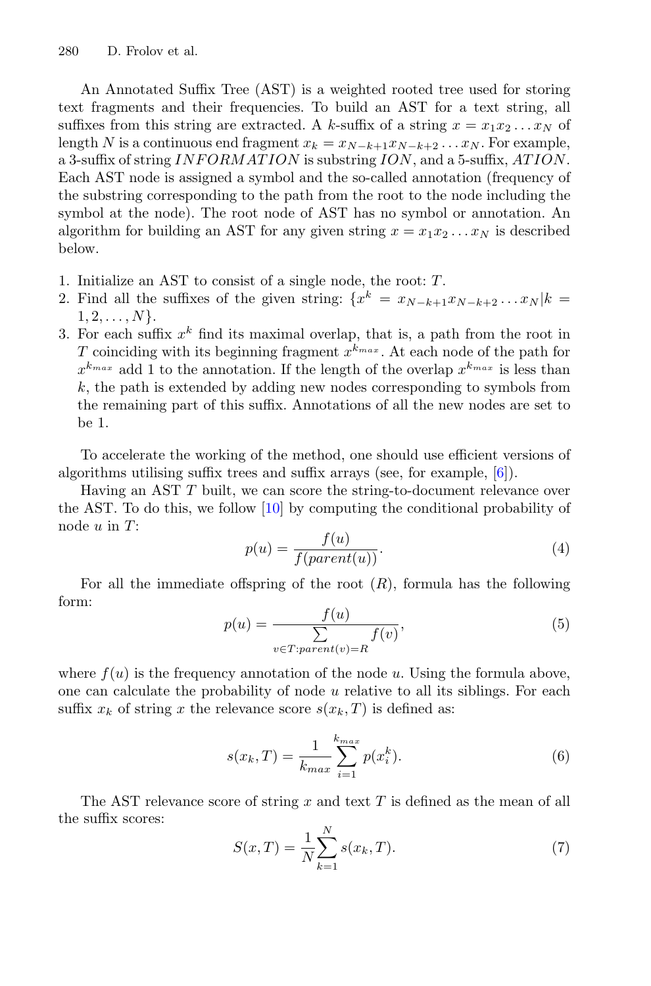An Annotated Suffix Tree (AST) is a weighted rooted tree used for storing text fragments and their frequencies. To build an AST for a text string, all suffixes from this string are extracted. A k-suffix of a string  $x = x_1x_2...x_N$  of length N is a continuous end fragment  $x_k = x_{N-k+1}x_{N-k+2}...x_N$ . For example, a 3-suffix of string  $INFORMATION$  is substring  $ION$ , and a 5-suffix,  $ATION$ . Each AST node is assigned a symbol and the so-called annotation (frequency of the substring corresponding to the path from the root to the node including the symbol at the node). The root node of AST has no symbol or annotation. An algorithm for building an AST for any given string  $x = x_1 x_2 \dots x_N$  is described below.

- 1. Initialize an AST to consist of a single node, the root: T.
- 2. Find all the suffixes of the given string:  $\{x^k = x_{N-k+1}x_{N-k+2}\dots x_N|k = 1, 2, \dots, N\}$ .  $\{1, 2, \ldots, N\}.$  For each suf
- 3. For each suffix  $x^k$  find its maximal overlap, that is, a path from the root in T coinciding with its beginning fragment  $x^{k_{max}}$ . At each node of the path for T coinciding with its beginning fragment  $x^{k_{max}}$ . At each node of the path for  $x^{k_{max}}$  add 1 to the annotation. If the length of the overlap  $x^{k_{max}}$  is less than  $k$ , the path is extended by adding new nodes corresponding to symbols from the remaining part of this suffix. Annotations of all the new nodes are set to be 1.

To accelerate the working of the method, one should use efficient versions of algorithms utilising suffix trees and suffix arrays (see, for example, [\[6](#page-12-9)]).

Having an AST T built, we can score the string-to-document relevance over the AST. To do this, we follow [\[10](#page-12-10)] by computing the conditional probability of node  $u$  in  $T$ :

$$
p(u) = \frac{f(u)}{f(parent(u))}.
$$
\n(4)

For all the immediate offspring of the root  $(R)$ , formula has the following form:

$$
p(u) = \frac{f(u)}{\sum_{v \in T:parent(v) = R} f(v)},
$$
\n<sup>(5)</sup>

where  $f(u)$  is the frequency annotation of the node u. Using the formula above, one can calculate the probability of node u relative to all its siblings. For each suffix  $x_k$  of string x the relevance score  $s(x_k, T)$  is defined as:

$$
s(x_k, T) = \frac{1}{k_{max}} \sum_{i=1}^{k_{max}} p(x_i^k).
$$
 (6)

The AST relevance score of string x and text  $T$  is defined as the mean of all the suffix scores:

$$
S(x,T) = \frac{1}{N} \sum_{k=1}^{N} s(x_k, T).
$$
 (7)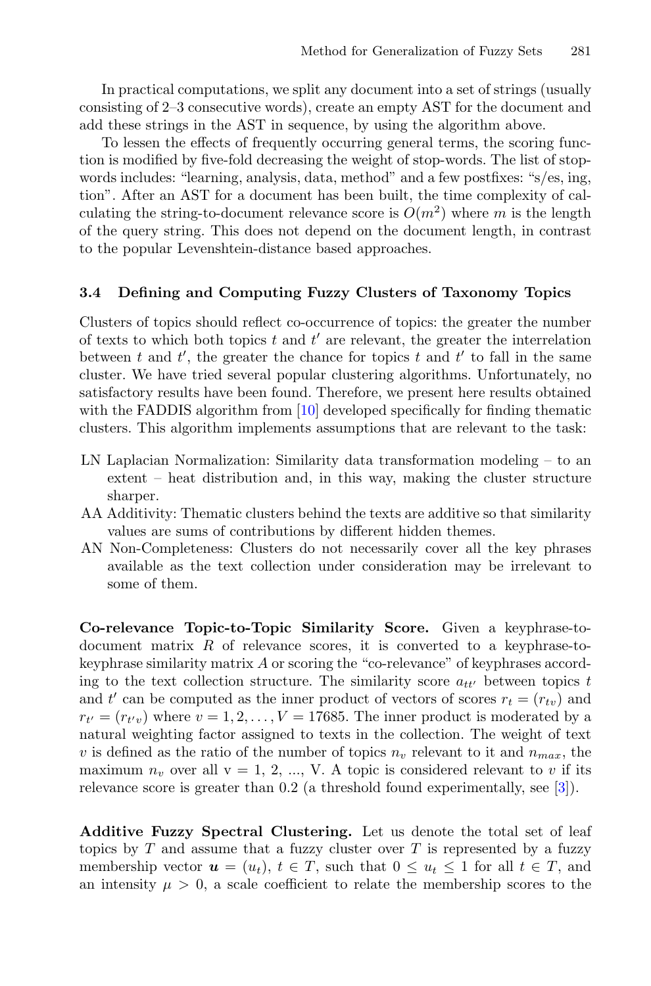In practical computations, we split any document into a set of strings (usually consisting of 2–3 consecutive words), create an empty AST for the document and add these strings in the AST in sequence, by using the algorithm above.

To lessen the effects of frequently occurring general terms, the scoring function is modified by five-fold decreasing the weight of stop-words. The list of stopwords includes: "learning, analysis, data, method" and a few postfixes: "s/es, ing, tion". After an AST for a document has been built, the time complexity of calculating the string-to-document relevance score is  $O(m^2)$  where m is the length of the query string. This does not depend on the document length, in contrast to the popular Levenshtein-distance based approaches.

#### **3.4 Defining and Computing Fuzzy Clusters of Taxonomy Topics**

Clusters of topics should reflect co-occurrence of topics: the greater the number of texts to which both topics t and t' are relevant, the greater the interrelation<br>between t and t' the greater the chance for topics t and t' to fall in the same between t and  $t'$ , the greater the chance for topics t and  $t'$  to fall in the same<br>cluster. We have tried several popular clustering algorithms. Unfortunately, no cluster. We have tried several popular clustering algorithms. Unfortunately, no satisfactory results have been found. Therefore, we present here results obtained with the FADDIS algorithm from [\[10\]](#page-12-10) developed specifically for finding thematic clusters. This algorithm implements assumptions that are relevant to the task:

- LN Laplacian Normalization: Similarity data transformation modeling to an extent – heat distribution and, in this way, making the cluster structure sharper.
- AA Additivity: Thematic clusters behind the texts are additive so that similarity values are sums of contributions by different hidden themes.
- AN Non-Completeness: Clusters do not necessarily cover all the key phrases available as the text collection under consideration may be irrelevant to some of them.

**Co-relevance Topic-to-Topic Similarity Score.** Given a keyphrase-todocument matrix R of relevance scores, it is converted to a keyphrase-tokeyphrase similarity matrix A or scoring the "co-relevance" of keyphrases according to the text collection structure. The similarity score  $a_{tt'}$  between topics t<br>and  $t'$  can be computed as the inner product of vectors of scores  $r_t - (r_t)$  and and t' can be computed as the inner product of vectors of scores  $r_t = (r_{tv})$  and  $r_{tt} = (r_{tv})$  where  $v = 1, 2, \dots, V = 17685$ . The inner product is moderated by a  $r_t - (r_t v_t)$  where  $v = 1, 2, ..., v = 17065$ . The linear product is moderated by a natural weighting factor assigned to texts in the collection. The weight of text  $v = (r_{t'v})$  where  $v = 1, 2, ..., V = 17685$ . The inner product is moderated by a<br>atural weighting factor assigned to texts in the collection. The weight of text v is defined as the ratio of the number of topics  $n_v$  relevant to it and  $n_{max}$ , the maximum  $n_v$  over all  $v = 1, 2, ..., V$ . A topic is considered relevant to v if its relevance score is greater than 0.2 (a threshold found experimentally, see [\[3\]](#page-12-8)).

**Additive Fuzzy Spectral Clustering.** Let us denote the total set of leaf topics by  $T$  and assume that a fuzzy cluster over  $T$  is represented by a fuzzy membership vector  $u = (u_t)$ ,  $t \in T$ , such that  $0 \leq u_t \leq 1$  for all  $t \in T$ , and an intensity  $\mu > 0$ , a scale coefficient to relate the membership scores to the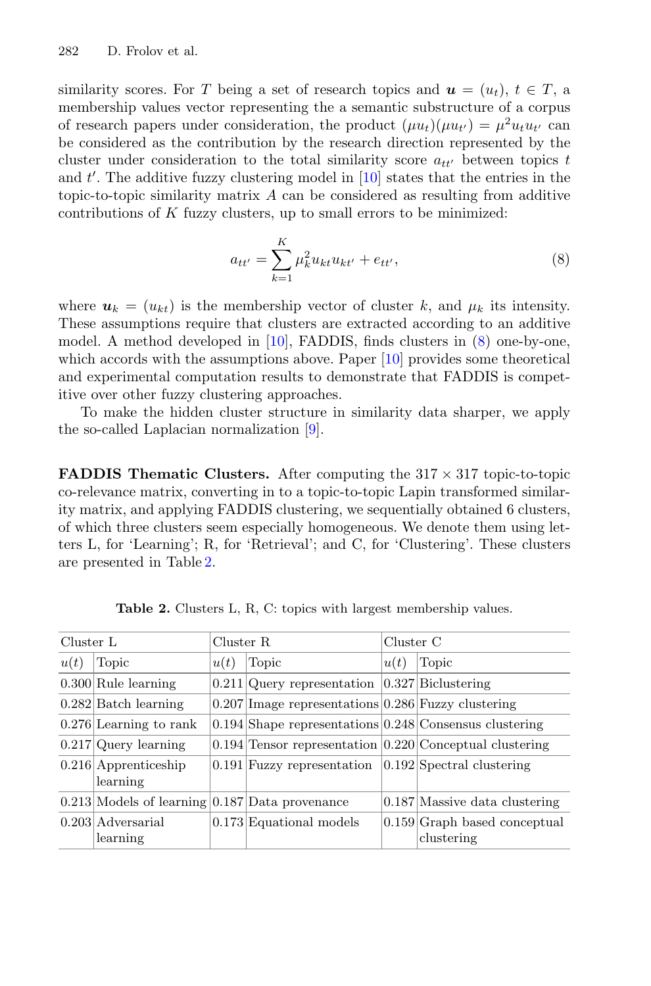similarity scores. For T being a set of research topics and  $u = (u_t)$ ,  $t \in T$ , a membership values vector representing the a semantic substructure of a corpus of research papers under consideration, the product  $(\mu u_t)(\mu u_{t'}) = \mu^2 u_t u_{t'}$  can<br>be considered as the contribution by the research direction represented by the be considered as the contribution by the research direction represented by the cluster under consideration to the total similarity score  $a_{tt}$  between topics t<br>and  $t'$ . The additive fuzzy clustering model in [10] states that the entries in the and  $t'$ . The additive fuzzy clustering model in  $\lfloor 10 \rfloor$  states that the entries in the topic-to-topic similarity matrix A can be considered as resulting from additive topic-to-topic similarity matrix A can be considered as resulting from additive contributions of  $K$  fuzzy clusters, up to small errors to be minimized:

<span id="page-9-0"></span>
$$
a_{tt'} = \sum_{k=1}^{K} \mu_k^2 u_{kt} u_{kt'} + e_{tt'},
$$
\n(8)

where  $u_k = (u_{kt})$  is the membership vector of cluster k, and  $\mu_k$  its intensity. These assumptions require that clusters are extracted according to an additive model. A method developed in [\[10](#page-12-10)], FADDIS, finds clusters in [\(8\)](#page-9-0) one-by-one, which accords with the assumptions above. Paper [\[10\]](#page-12-10) provides some theoretical and experimental computation results to demonstrate that FADDIS is competitive over other fuzzy clustering approaches.

To make the hidden cluster structure in similarity data sharper, we apply the so-called Laplacian normalization [\[9](#page-12-11)].

**FADDIS Thematic Clusters.** After computing the  $317 \times 317$  topic-to-topic co-relevance matrix, converting in to a topic-to-topic Lapin transformed similarity matrix, and applying FADDIS clustering, we sequentially obtained 6 clusters, of which three clusters seem especially homogeneous. We denote them using letters L, for 'Learning'; R, for 'Retrieval'; and C, for 'Clustering'. These clusters are presented in Table [2.](#page-9-1)

<span id="page-9-1"></span>

| Cluster L |                                                    | Cluster R |                                                               | Cluster C |                                              |
|-----------|----------------------------------------------------|-----------|---------------------------------------------------------------|-----------|----------------------------------------------|
| u(t)      | Topic                                              | u(t)      | Topic                                                         | u(t)      | Topic                                        |
|           | $0.300$ Rule learning                              |           | $0.211$ Query representation $ 0.327 $ Biclustering           |           |                                              |
|           | $0.282$ Batch learning                             |           | $0.207$ Image representations $0.286$ Fuzzy clustering        |           |                                              |
|           | $0.276$ Learning to rank                           |           | $0.194$ Shape representations $0.248$ Consensus clustering    |           |                                              |
|           | $0.217$ Query learning                             |           | $0.194$ Tensor representation $ 0.220 $ Conceptual clustering |           |                                              |
|           | $0.216$  Apprenticeship<br>learning                |           | $0.191$ Fuzzy representation $ 0.192 $ Spectral clustering    |           |                                              |
|           | $0.213$ Models of learning $0.187$ Data provenance |           |                                                               |           | $0.187$ Massive data clustering              |
|           | 0.203 Adversarial<br>learning                      |           | $0.173$ Equational models                                     |           | $0.159$ Graph based conceptual<br>clustering |

**Table 2.** Clusters L, R, C: topics with largest membership values.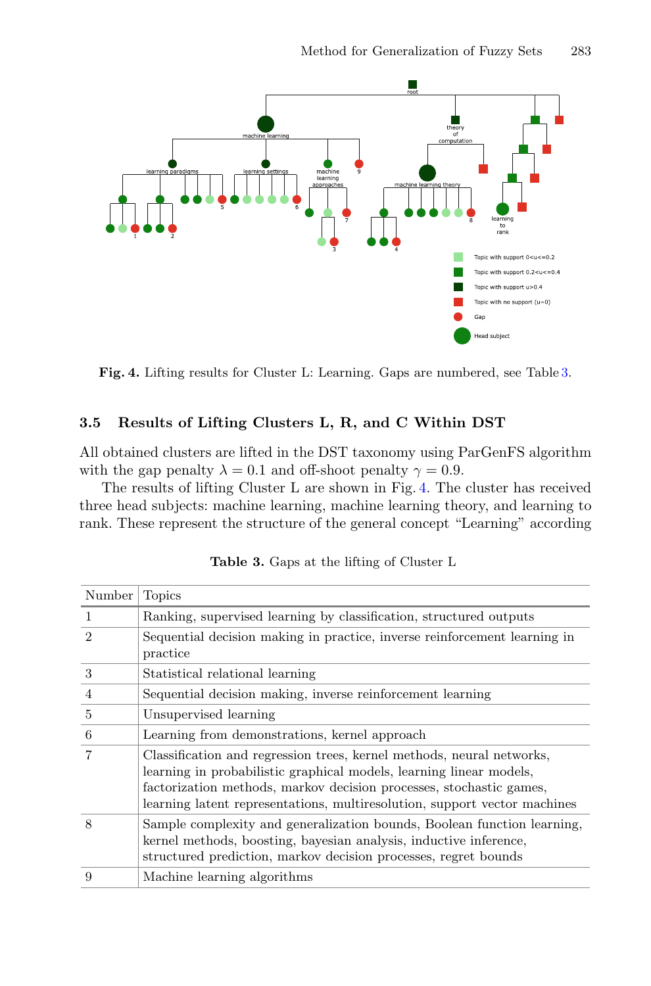

**Fig. 4.** Lifting results for Cluster L: Learning. Gaps are numbered, see Table [3.](#page-10-0)

#### **3.5 Results of Lifting Clusters L, R, and C Within DST**

All obtained clusters are lifted in the DST taxonomy using ParGenFS algorithm with the gap penalty  $\lambda = 0.1$  and off-shoot penalty  $\gamma = 0.9$ .

The results of lifting Cluster L are shown in Fig. [4.](#page-10-1) The cluster has received three head subjects: machine learning, machine learning theory, and learning to rank. These represent the structure of the general concept "Learning" according

<span id="page-10-0"></span>

| Number        | <b>Topics</b>                                                                                                                                                                                                                                                                                    |
|---------------|--------------------------------------------------------------------------------------------------------------------------------------------------------------------------------------------------------------------------------------------------------------------------------------------------|
|               | Ranking, supervised learning by classification, structured outputs                                                                                                                                                                                                                               |
| $\mathcal{D}$ | Sequential decision making in practice, inverse reinforcement learning in<br>practice                                                                                                                                                                                                            |
| 3             | Statistical relational learning                                                                                                                                                                                                                                                                  |
| 4             | Sequential decision making, inverse reinforcement learning                                                                                                                                                                                                                                       |
| 5             | Unsupervised learning                                                                                                                                                                                                                                                                            |
| 6             | Learning from demonstrations, kernel approach                                                                                                                                                                                                                                                    |
| 7             | Classification and regression trees, kernel methods, neural networks,<br>learning in probabilistic graphical models, learning linear models,<br>factorization methods, markov decision processes, stochastic games,<br>learning latent representations, multiresolution, support vector machines |
| 8             | Sample complexity and generalization bounds, Boolean function learning,<br>kernel methods, boosting, bayesian analysis, inductive inference,<br>structured prediction, markov decision processes, regret bounds                                                                                  |
| 9             | Machine learning algorithms                                                                                                                                                                                                                                                                      |

<span id="page-10-1"></span>**Table 3.** Gaps at the lifting of Cluster L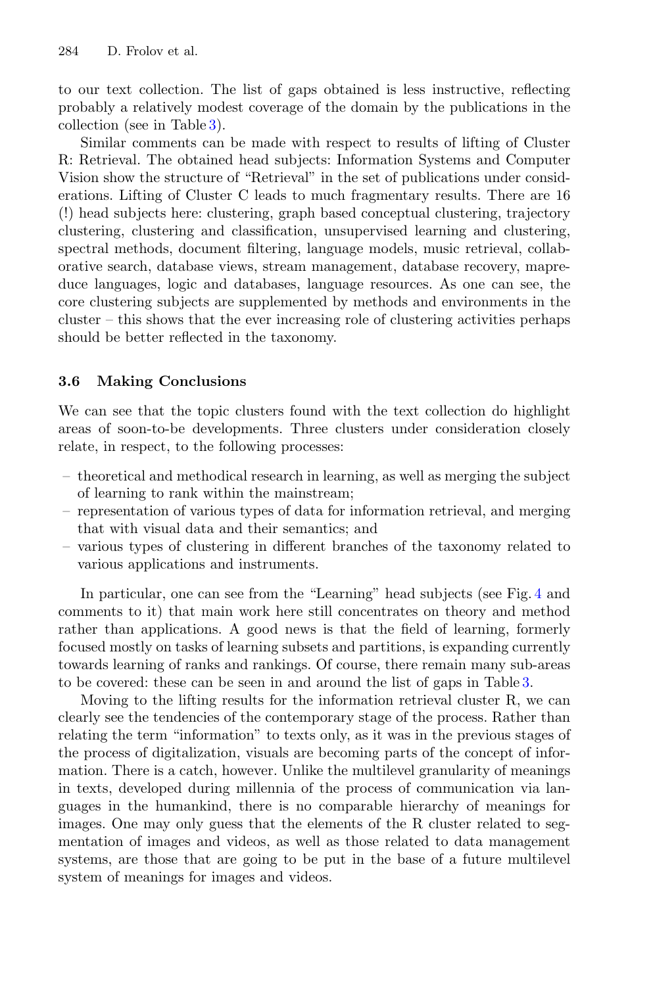to our text collection. The list of gaps obtained is less instructive, reflecting probably a relatively modest coverage of the domain by the publications in the collection (see in Table [3\)](#page-10-0).

Similar comments can be made with respect to results of lifting of Cluster R: Retrieval. The obtained head subjects: Information Systems and Computer Vision show the structure of "Retrieval" in the set of publications under considerations. Lifting of Cluster C leads to much fragmentary results. There are 16 (!) head subjects here: clustering, graph based conceptual clustering, trajectory clustering, clustering and classification, unsupervised learning and clustering, spectral methods, document filtering, language models, music retrieval, collaborative search, database views, stream management, database recovery, mapreduce languages, logic and databases, language resources. As one can see, the core clustering subjects are supplemented by methods and environments in the cluster – this shows that the ever increasing role of clustering activities perhaps should be better reflected in the taxonomy.

### <span id="page-11-0"></span>**3.6 Making Conclusions**

We can see that the topic clusters found with the text collection do highlight areas of soon-to-be developments. Three clusters under consideration closely relate, in respect, to the following processes:

- theoretical and methodical research in learning, as well as merging the subject of learning to rank within the mainstream;
- representation of various types of data for information retrieval, and merging that with visual data and their semantics; and
- various types of clustering in different branches of the taxonomy related to various applications and instruments.

In particular, one can see from the "Learning" head subjects (see Fig. [4](#page-10-1) and comments to it) that main work here still concentrates on theory and method rather than applications. A good news is that the field of learning, formerly focused mostly on tasks of learning subsets and partitions, is expanding currently towards learning of ranks and rankings. Of course, there remain many sub-areas to be covered: these can be seen in and around the list of gaps in Table [3.](#page-10-0)

Moving to the lifting results for the information retrieval cluster R, we can clearly see the tendencies of the contemporary stage of the process. Rather than relating the term "information" to texts only, as it was in the previous stages of the process of digitalization, visuals are becoming parts of the concept of information. There is a catch, however. Unlike the multilevel granularity of meanings in texts, developed during millennia of the process of communication via languages in the humankind, there is no comparable hierarchy of meanings for images. One may only guess that the elements of the R cluster related to segmentation of images and videos, as well as those related to data management systems, are those that are going to be put in the base of a future multilevel system of meanings for images and videos.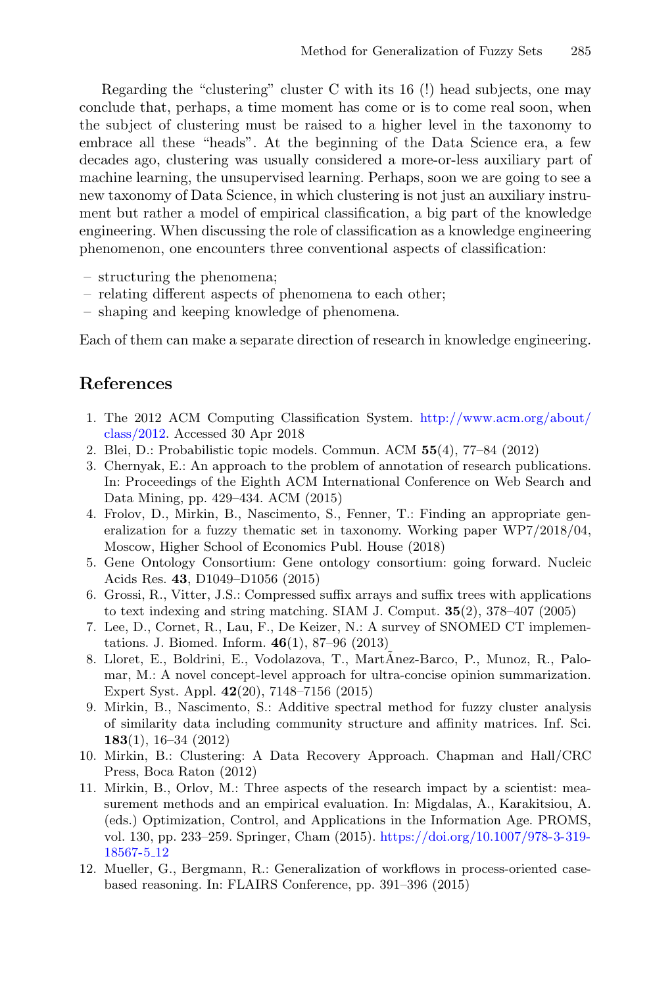Regarding the "clustering" cluster C with its 16 (!) head subjects, one may conclude that, perhaps, a time moment has come or is to come real soon, when the subject of clustering must be raised to a higher level in the taxonomy to embrace all these "heads". At the beginning of the Data Science era, a few decades ago, clustering was usually considered a more-or-less auxiliary part of machine learning, the unsupervised learning. Perhaps, soon we are going to see a new taxonomy of Data Science, in which clustering is not just an auxiliary instrument but rather a model of empirical classification, a big part of the knowledge engineering. When discussing the role of classification as a knowledge engineering phenomenon, one encounters three conventional aspects of classification:

- structuring the phenomena;
- relating different aspects of phenomena to each other;
- shaping and keeping knowledge of phenomena.

Each of them can make a separate direction of research in knowledge engineering.

### **References**

- <span id="page-12-2"></span>1. The 2012 ACM Computing Classification System. [http://www.acm.org/about/](http://www.acm.org/about/class/2012) [class/2012.](http://www.acm.org/about/class/2012) Accessed 30 Apr 2018
- <span id="page-12-7"></span>2. Blei, D.: Probabilistic topic models. Commun. ACM **55**(4), 77–84 (2012)
- <span id="page-12-8"></span>3. Chernyak, E.: An approach to the problem of annotation of research publications. In: Proceedings of the Eighth ACM International Conference on Web Search and Data Mining, pp. 429–434. ACM (2015)
- <span id="page-12-4"></span>4. Frolov, D., Mirkin, B., Nascimento, S., Fenner, T.: Finding an appropriate generalization for a fuzzy thematic set in taxonomy. Working paper WP7/2018/04, Moscow, Higher School of Economics Publ. House (2018)
- <span id="page-12-5"></span>5. Gene Ontology Consortium: Gene ontology consortium: going forward. Nucleic Acids Res. **43**, D1049–D1056 (2015)
- <span id="page-12-9"></span>6. Grossi, R., Vitter, J.S.: Compressed suffix arrays and suffix trees with applications to text indexing and string matching. SIAM J. Comput. **35**(2), 378–407 (2005)
- <span id="page-12-6"></span>7. Lee, D., Cornet, R., Lau, F., De Keizer, N.: A survey of SNOMED CT implementations. J. Biomed. Inform. **46**(1), 87–96 (2013)
- <span id="page-12-0"></span>8. Lloret, E., Boldrini, E., Vodolazova, T., MartAnez-Barco, P., Munoz, R., Palomar, M.: A novel concept-level approach for ultra-concise opinion summarization. Expert Syst. Appl. **42**(20), 7148–7156 (2015)
- <span id="page-12-11"></span>9. Mirkin, B., Nascimento, S.: Additive spectral method for fuzzy cluster analysis of similarity data including community structure and affinity matrices. Inf. Sci. **183**(1), 16–34 (2012)
- <span id="page-12-10"></span>10. Mirkin, B.: Clustering: A Data Recovery Approach. Chapman and Hall/CRC Press, Boca Raton (2012)
- <span id="page-12-3"></span>11. Mirkin, B., Orlov, M.: Three aspects of the research impact by a scientist: measurement methods and an empirical evaluation. In: Migdalas, A., Karakitsiou, A. (eds.) Optimization, Control, and Applications in the Information Age. PROMS, vol. 130, pp. 233–259. Springer, Cham (2015). [https://doi.org/10.1007/978-3-319-](https://doi.org/10.1007/978-3-319-18567-5_12) [18567-5](https://doi.org/10.1007/978-3-319-18567-5_12) 12
- <span id="page-12-1"></span>12. Mueller, G., Bergmann, R.: Generalization of workflows in process-oriented casebased reasoning. In: FLAIRS Conference, pp. 391–396 (2015)